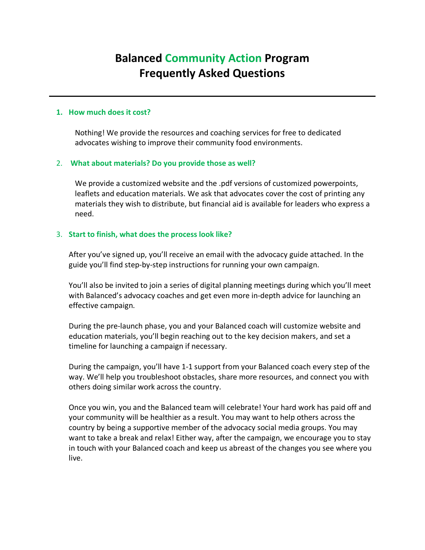# **Balanced Community Action Program Frequently Asked Questions**

### **1. How much does it cost?**

Nothing! We provide the resources and coaching services for free to dedicated advocates wishing to improve their community food environments.

#### 2. **What about materials? Do you provide those as well?**

We provide a customized website and the .pdf versions of customized powerpoints, leaflets and education materials. We ask that advocates cover the cost of printing any materials they wish to distribute, but financial aid is available for leaders who express a need.

#### 3. **Start to finish, what does the process look like?**

After you've signed up, you'll receive an email with the advocacy guide attached. In the guide you'll find step-by-step instructions for running your own campaign.

You'll also be invited to join a series of digital planning meetings during which you'll meet with Balanced's advocacy coaches and get even more in-depth advice for launching an effective campaign.

During the pre-launch phase, you and your Balanced coach will customize website and education materials, you'll begin reaching out to the key decision makers, and set a timeline for launching a campaign if necessary.

During the campaign, you'll have 1-1 support from your Balanced coach every step of the way. We'll help you troubleshoot obstacles, share more resources, and connect you with others doing similar work across the country.

Once you win, you and the Balanced team will celebrate! Your hard work has paid off and your community will be healthier as a result. You may want to help others across the country by being a supportive member of the advocacy social media groups. You may want to take a break and relax! Either way, after the campaign, we encourage you to stay in touch with your Balanced coach and keep us abreast of the changes you see where you live.